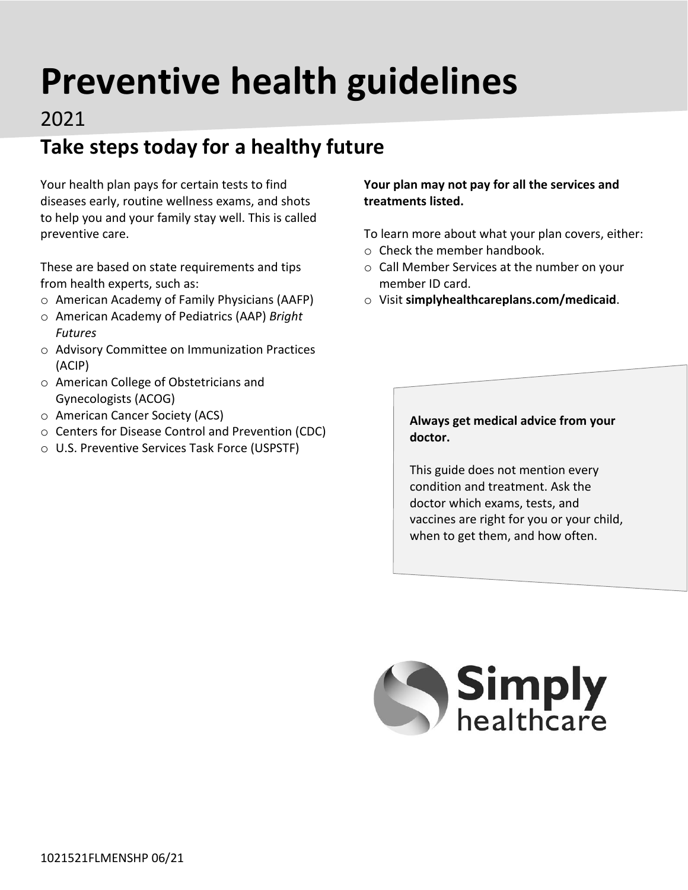# **Preventive health guidelines**

#### 2021

# **Take steps today for a healthy future**

Your health plan pays for certain tests to find diseases early, routine wellness exams, and shots to help you and your family stay well. This is called preventive care.

These are based on state requirements and tips from health experts, such as:

- o American Academy of Family Physicians (AAFP)
- o American Academy of Pediatrics (AAP) *Bright Futures*
- o Advisory Committee on Immunization Practices (ACIP)
- o American College of Obstetricians and Gynecologists (ACOG)
- o American Cancer Society (ACS)
- o Centers for Disease Control and Prevention (CDC)
- o U.S. Preventive Services Task Force (USPSTF)

#### **Your plan may not pay for all the services and treatments listed.**

To learn more about what your plan covers, either:

- o Check the member handbook.
- o Call Member Services at the number on your member ID card.
- o Visit **[simplyhealthcareplans.com/medicaid](http://simplyhealthcareplans.com/medicaid)**.

#### **Always get medical advice from your doctor.**

This guide does not mention every condition and treatment. Ask the doctor which exams, tests, and vaccines are right for you or your child, when to get them, and how often.

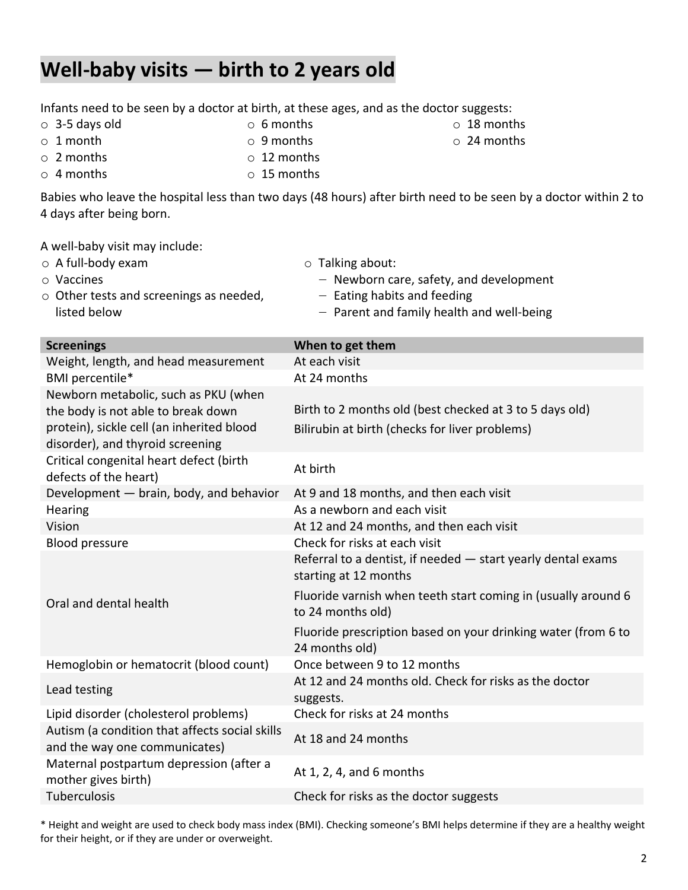# **Well-baby visits — birth to 2 years old**

| Infants need to be seen by a doctor at birth, at these ages, and as the doctor suggests: |  |  |  |
|------------------------------------------------------------------------------------------|--|--|--|
|------------------------------------------------------------------------------------------|--|--|--|

o 3-5 days old

o 1 month

- o 6 months
- o 9 months
- o 2 months o 12 months
- o 4 months o 15 months
- Babies who leave the hospital less than two days (48 hours) after birth need to be seen by a doctor within 2 to 4 days after being born.

o 18 months o 24 months

A well-baby visit may include:

| $\circ$ A full-body exam                | $\circ$ Talking about:                    |
|-----------------------------------------|-------------------------------------------|
| ○ Vaccines                              | $-$ Newborn care, safety, and development |
| o Other tests and screenings as needed, | $-$ Eating habits and feeding             |
| listed below                            | - Parent and family health and well-being |

| <b>Screenings</b>                                                                                                                                           | When to get them                                                                                                                                       |
|-------------------------------------------------------------------------------------------------------------------------------------------------------------|--------------------------------------------------------------------------------------------------------------------------------------------------------|
| Weight, length, and head measurement                                                                                                                        | At each visit                                                                                                                                          |
| BMI percentile*                                                                                                                                             | At 24 months                                                                                                                                           |
| Newborn metabolic, such as PKU (when<br>the body is not able to break down<br>protein), sickle cell (an inherited blood<br>disorder), and thyroid screening | Birth to 2 months old (best checked at 3 to 5 days old)<br>Bilirubin at birth (checks for liver problems)                                              |
| Critical congenital heart defect (birth<br>defects of the heart)                                                                                            | At birth                                                                                                                                               |
| Development - brain, body, and behavior                                                                                                                     | At 9 and 18 months, and then each visit                                                                                                                |
| Hearing                                                                                                                                                     | As a newborn and each visit                                                                                                                            |
| Vision                                                                                                                                                      | At 12 and 24 months, and then each visit                                                                                                               |
| <b>Blood pressure</b>                                                                                                                                       | Check for risks at each visit                                                                                                                          |
|                                                                                                                                                             | Referral to a dentist, if needed - start yearly dental exams<br>starting at 12 months<br>Fluoride varnish when teeth start coming in (usually around 6 |
| Oral and dental health                                                                                                                                      | to 24 months old)                                                                                                                                      |
|                                                                                                                                                             | Fluoride prescription based on your drinking water (from 6 to<br>24 months old)                                                                        |
| Hemoglobin or hematocrit (blood count)                                                                                                                      | Once between 9 to 12 months                                                                                                                            |
| Lead testing                                                                                                                                                | At 12 and 24 months old. Check for risks as the doctor<br>suggests.                                                                                    |
| Lipid disorder (cholesterol problems)                                                                                                                       | Check for risks at 24 months                                                                                                                           |
| Autism (a condition that affects social skills<br>and the way one communicates)                                                                             | At 18 and 24 months                                                                                                                                    |
| Maternal postpartum depression (after a<br>mother gives birth)                                                                                              | At 1, 2, 4, and 6 months                                                                                                                               |
| Tuberculosis                                                                                                                                                | Check for risks as the doctor suggests                                                                                                                 |
|                                                                                                                                                             |                                                                                                                                                        |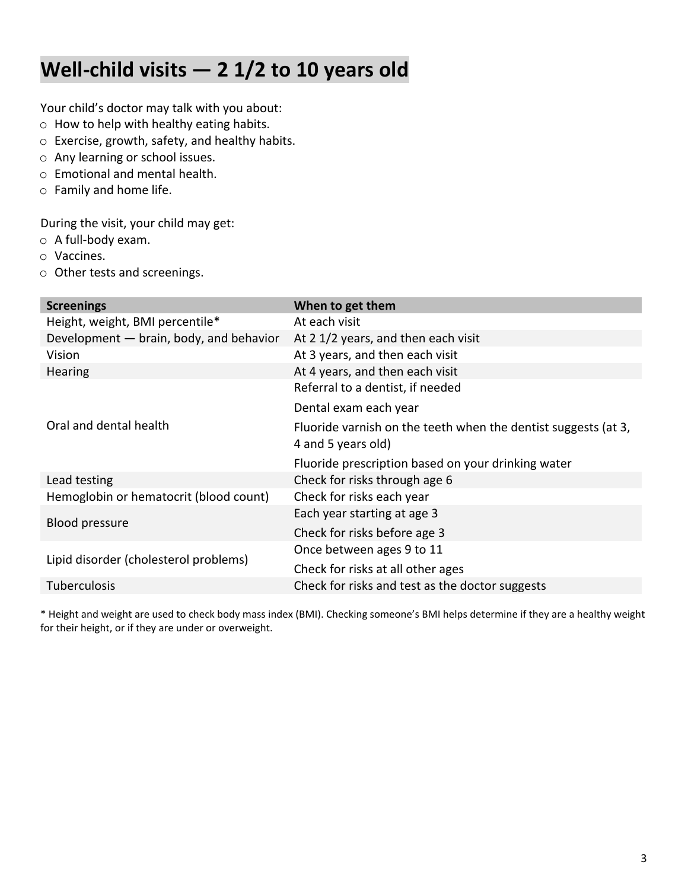# **Well-child visits — 2 1/2 to 10 years old**

Your child's doctor may talk with you about:

- o How to help with healthy eating habits.
- o Exercise, growth, safety, and healthy habits.
- o Any learning or school issues.
- o Emotional and mental health.
- o Family and home life.

During the visit, your child may get:

- o A full-body exam.
- o Vaccines.
- o Other tests and screenings.

| <b>Screenings</b>                       | When to get them                                               |
|-----------------------------------------|----------------------------------------------------------------|
| Height, weight, BMI percentile*         | At each visit                                                  |
| Development - brain, body, and behavior | At 2 1/2 years, and then each visit                            |
| Vision                                  | At 3 years, and then each visit                                |
| <b>Hearing</b>                          | At 4 years, and then each visit                                |
|                                         | Referral to a dentist, if needed                               |
|                                         | Dental exam each year                                          |
| Oral and dental health                  | Fluoride varnish on the teeth when the dentist suggests (at 3, |
|                                         | 4 and 5 years old)                                             |
|                                         | Fluoride prescription based on your drinking water             |
| Lead testing                            | Check for risks through age 6                                  |
| Hemoglobin or hematocrit (blood count)  | Check for risks each year                                      |
| <b>Blood pressure</b>                   | Each year starting at age 3                                    |
|                                         | Check for risks before age 3                                   |
| Lipid disorder (cholesterol problems)   | Once between ages 9 to 11                                      |
|                                         | Check for risks at all other ages                              |
| <b>Tuberculosis</b>                     | Check for risks and test as the doctor suggests                |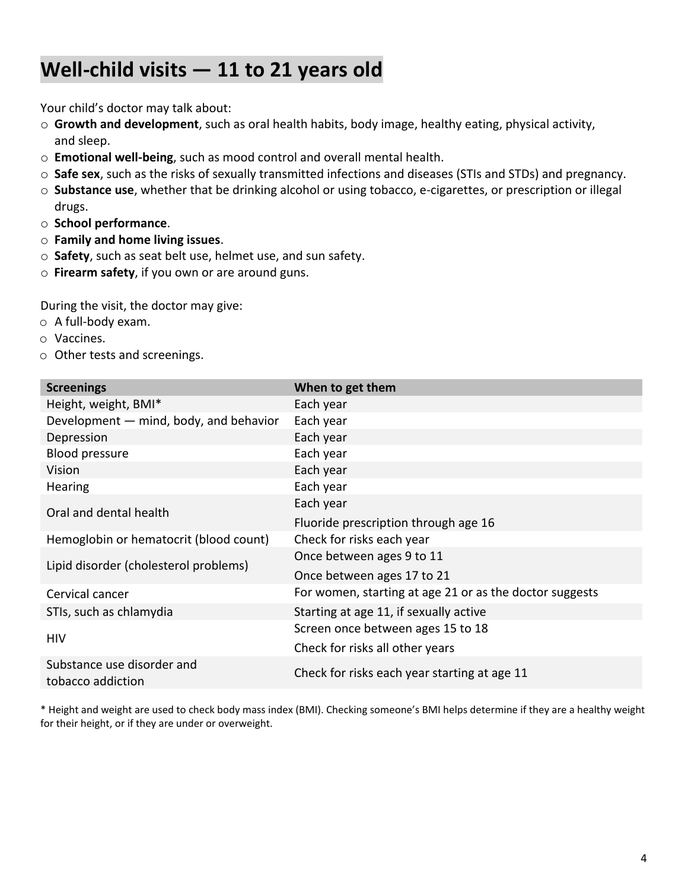### **Well-child visits — 11 to 21 years old**

Your child's doctor may talk about:

- o **Growth and development**, such as oral health habits, body image, healthy eating, physical activity, and sleep.
- o **Emotional well-being**, such as mood control and overall mental health.
- o **Safe sex**, such as the risks of sexually transmitted infections and diseases (STIs and STDs) and pregnancy.
- o **Substance use**, whether that be drinking alcohol or using tobacco, e-cigarettes, or prescription or illegal drugs.
- o **School performance**.
- o **Family and home living issues**.
- o **Safety**, such as seat belt use, helmet use, and sun safety.
- o **Firearm safety**, if you own or are around guns.

During the visit, the doctor may give:

- o A full-body exam.
- o Vaccines.
- o Other tests and screenings.

| <b>Screenings</b>                               | When to get them                                        |
|-------------------------------------------------|---------------------------------------------------------|
| Height, weight, BMI*                            | Each year                                               |
| Development - mind, body, and behavior          | Each year                                               |
| Depression                                      | Each year                                               |
| <b>Blood pressure</b>                           | Each year                                               |
| Vision                                          | Each year                                               |
| Hearing                                         | Each year                                               |
| Oral and dental health                          | Each year                                               |
|                                                 | Fluoride prescription through age 16                    |
| Hemoglobin or hematocrit (blood count)          | Check for risks each year                               |
|                                                 | Once between ages 9 to 11                               |
| Lipid disorder (cholesterol problems)           | Once between ages 17 to 21                              |
| Cervical cancer                                 | For women, starting at age 21 or as the doctor suggests |
| STIs, such as chlamydia                         | Starting at age 11, if sexually active                  |
|                                                 | Screen once between ages 15 to 18                       |
| <b>HIV</b>                                      | Check for risks all other years                         |
| Substance use disorder and<br>tobacco addiction | Check for risks each year starting at age 11            |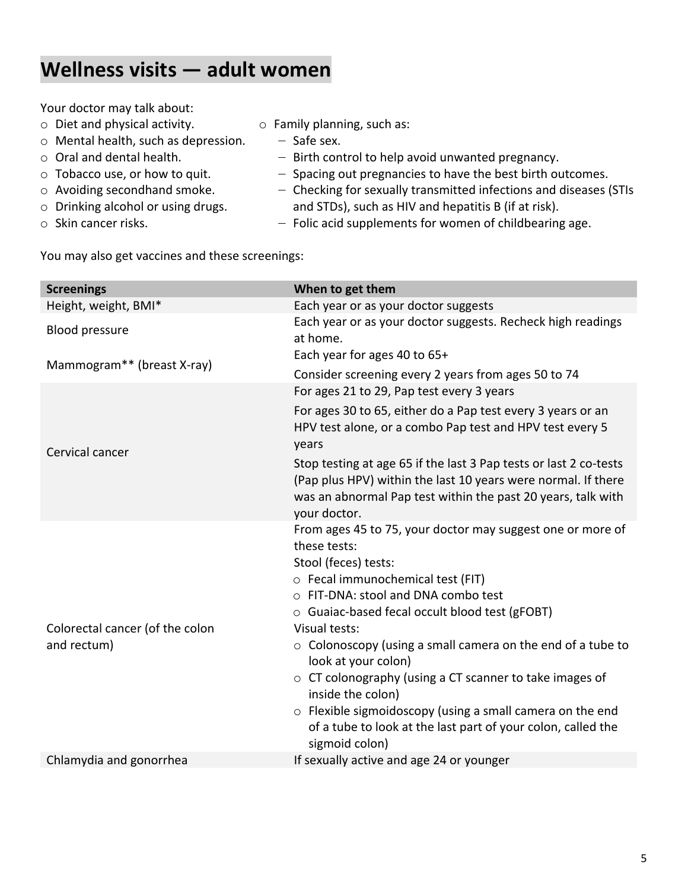#### **Wellness visits — adult women**

Your doctor may talk about:

- o Diet and physical activity.
- o Mental health, such as depression.
- o Oral and dental health.
- o Tobacco use, or how to quit.
- o Avoiding secondhand smoke.
- o Drinking alcohol or using drugs.
- o Skin cancer risks.
- o Family planning, such as:
	- ‒ Safe sex.
	- ‒ Birth control to help avoid unwanted pregnancy.
	- ‒ Spacing out pregnancies to have the best birth outcomes.
	- ‒ Checking for sexually transmitted infections and diseases (STIs and STDs), such as HIV and hepatitis B (if at risk).
	- ‒ Folic acid supplements for women of childbearing age.

You may also get vaccines and these screenings:

| <b>Screenings</b>                              | When to get them                                                                                                                                                                                                                                                                                                                                                                                                                                                                                                                                                                         |
|------------------------------------------------|------------------------------------------------------------------------------------------------------------------------------------------------------------------------------------------------------------------------------------------------------------------------------------------------------------------------------------------------------------------------------------------------------------------------------------------------------------------------------------------------------------------------------------------------------------------------------------------|
| Height, weight, BMI*                           | Each year or as your doctor suggests                                                                                                                                                                                                                                                                                                                                                                                                                                                                                                                                                     |
| <b>Blood pressure</b>                          | Each year or as your doctor suggests. Recheck high readings<br>at home.                                                                                                                                                                                                                                                                                                                                                                                                                                                                                                                  |
| Mammogram** (breast X-ray)                     | Each year for ages 40 to 65+                                                                                                                                                                                                                                                                                                                                                                                                                                                                                                                                                             |
|                                                | Consider screening every 2 years from ages 50 to 74                                                                                                                                                                                                                                                                                                                                                                                                                                                                                                                                      |
|                                                | For ages 21 to 29, Pap test every 3 years                                                                                                                                                                                                                                                                                                                                                                                                                                                                                                                                                |
| Cervical cancer                                | For ages 30 to 65, either do a Pap test every 3 years or an<br>HPV test alone, or a combo Pap test and HPV test every 5<br>years                                                                                                                                                                                                                                                                                                                                                                                                                                                         |
|                                                | Stop testing at age 65 if the last 3 Pap tests or last 2 co-tests<br>(Pap plus HPV) within the last 10 years were normal. If there<br>was an abnormal Pap test within the past 20 years, talk with<br>your doctor.                                                                                                                                                                                                                                                                                                                                                                       |
| Colorectal cancer (of the colon<br>and rectum) | From ages 45 to 75, your doctor may suggest one or more of<br>these tests:<br>Stool (feces) tests:<br>o Fecal immunochemical test (FIT)<br>○ FIT-DNA: stool and DNA combo test<br>○ Guaiac-based fecal occult blood test (gFOBT)<br>Visual tests:<br>$\circ$ Colonoscopy (using a small camera on the end of a tube to<br>look at your colon)<br>$\circ$ CT colonography (using a CT scanner to take images of<br>inside the colon)<br>$\circ$ Flexible sigmoidoscopy (using a small camera on the end<br>of a tube to look at the last part of your colon, called the<br>sigmoid colon) |
| Chlamydia and gonorrhea                        | If sexually active and age 24 or younger                                                                                                                                                                                                                                                                                                                                                                                                                                                                                                                                                 |
|                                                |                                                                                                                                                                                                                                                                                                                                                                                                                                                                                                                                                                                          |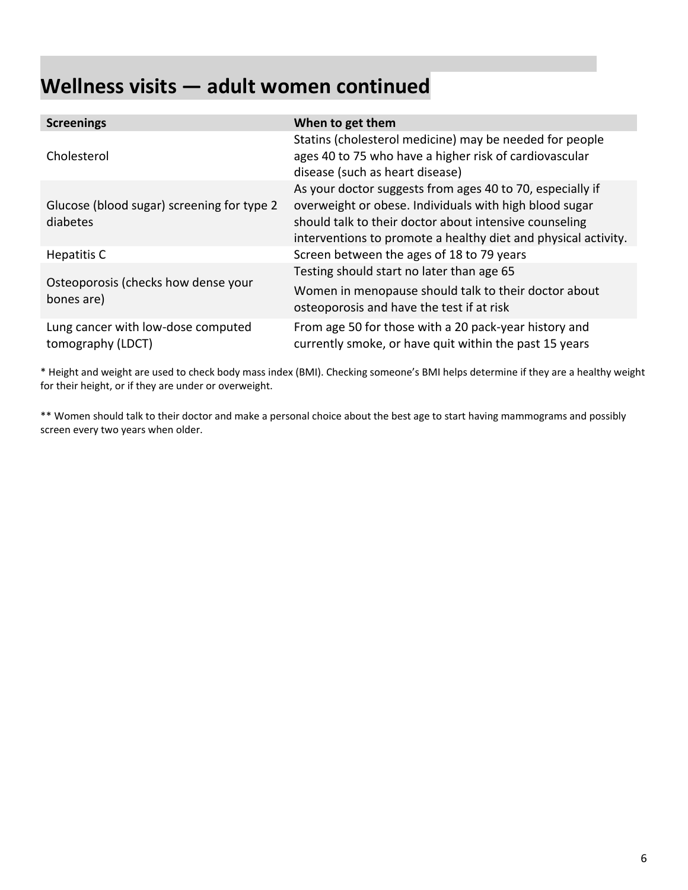# **Wellness visits — adult women continued**

| <b>Screenings</b>                                       | When to get them                                                                                                                                                                                                                                |
|---------------------------------------------------------|-------------------------------------------------------------------------------------------------------------------------------------------------------------------------------------------------------------------------------------------------|
| Cholesterol                                             | Statins (cholesterol medicine) may be needed for people<br>ages 40 to 75 who have a higher risk of cardiovascular<br>disease (such as heart disease)                                                                                            |
| Glucose (blood sugar) screening for type 2<br>diabetes  | As your doctor suggests from ages 40 to 70, especially if<br>overweight or obese. Individuals with high blood sugar<br>should talk to their doctor about intensive counseling<br>interventions to promote a healthy diet and physical activity. |
| Hepatitis C                                             | Screen between the ages of 18 to 79 years                                                                                                                                                                                                       |
| Osteoporosis (checks how dense your<br>bones are)       | Testing should start no later than age 65<br>Women in menopause should talk to their doctor about<br>osteoporosis and have the test if at risk                                                                                                  |
| Lung cancer with low-dose computed<br>tomography (LDCT) | From age 50 for those with a 20 pack-year history and<br>currently smoke, or have quit within the past 15 years                                                                                                                                 |

\* Height and weight are used to check body mass index (BMI). Checking someone's BMI helps determine if they are a healthy weight for their height, or if they are under or overweight.

\*\* Women should talk to their doctor and make a personal choice about the best age to start having mammograms and possibly screen every two years when older.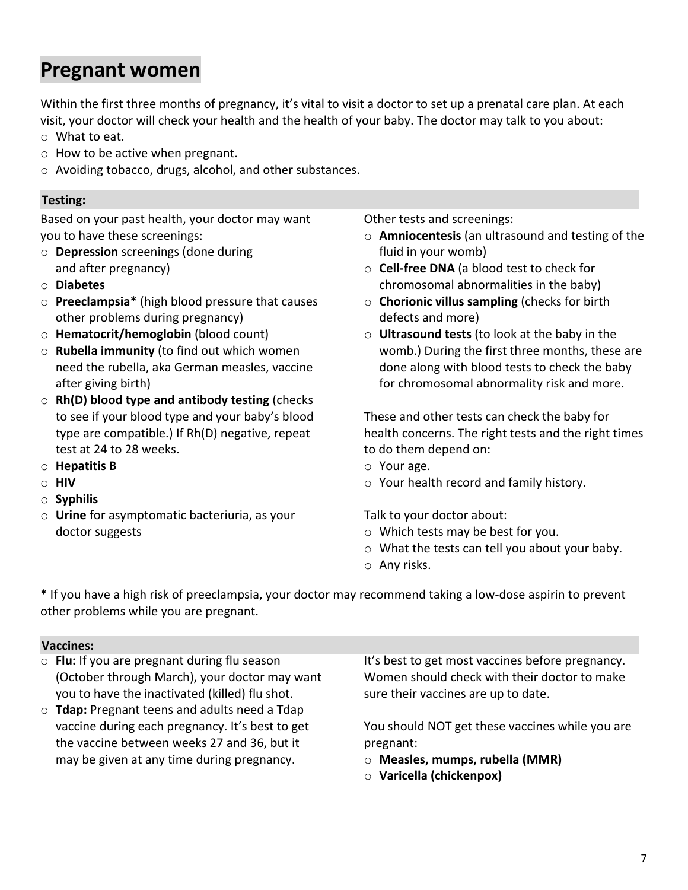#### **Pregnant women**

Within the first three months of pregnancy, it's vital to visit a doctor to set up a prenatal care plan. At each visit, your doctor will check your health and the health of your baby. The doctor may talk to you about: o What to eat.

- o How to be active when pregnant.
- o Avoiding tobacco, drugs, alcohol, and other substances.

#### **Testing: Testing:**

Based on your past health, your doctor may want you to have these screenings:

- o **Depression** screenings (done during and after pregnancy)
- o **Diabetes**
- o **Preeclampsia\*** (high blood pressure that causes other problems during pregnancy)
- o **Hematocrit/hemoglobin** (blood count)
- o **Rubella immunity** (to find out which women need the rubella, aka German measles, vaccine after giving birth)
- o **Rh(D) blood type and antibody testing** (checks to see if your blood type and your baby's blood type are compatible.) If Rh(D) negative, repeat test at 24 to 28 weeks.
- o **Hepatitis B**
- o **HIV**
- o **Syphilis**
- o **Urine** for asymptomatic bacteriuria, as your doctor suggests

Other tests and screenings:

- o **Amniocentesis** (an ultrasound and testing of the fluid in your womb)
- o **Cell-free DNA** (a blood test to check for chromosomal abnormalities in the baby)
- o **Chorionic villus sampling** (checks for birth defects and more)
- o **Ultrasound tests** (to look at the baby in the womb.) During the first three months, these are done along with blood tests to check the baby for chromosomal abnormality risk and more.

These and other tests can check the baby for health concerns. The right tests and the right times to do them depend on:

- o Your age.
- o Your health record and family history.

Talk to your doctor about:

- o Which tests may be best for you.
- o What the tests can tell you about your baby.
- o Any risks.

\* If you have a high risk of preeclampsia, your doctor may recommend taking a low-dose aspirin to prevent other problems while you are pregnant.

#### **Vaccines: Vaccines:**

- o **Flu:** If you are pregnant during flu season (October through March), your doctor may want you to have the inactivated (killed) flu shot.
- o **Tdap:** Pregnant teens and adults need a Tdap vaccine during each pregnancy. It's best to get the vaccine between weeks 27 and 36, but it may be given at any time during pregnancy.

It's best to get most vaccines before pregnancy. Women should check with their doctor to make sure their vaccines are up to date.

You should NOT get these vaccines while you are pregnant:

- o **Measles, mumps, rubella (MMR)**
- o **Varicella (chickenpox)**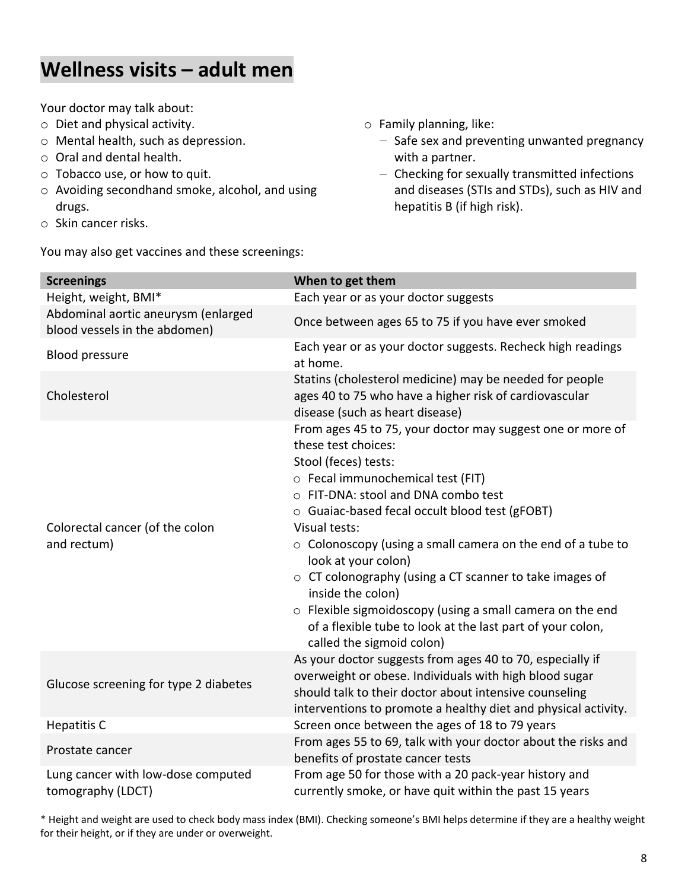#### **Wellness visits – adult men**

Your doctor may talk about:

- o Diet and physical activity.
- o Mental health, such as depression.
- o Oral and dental health.
- o Tobacco use, or how to quit.
- o Avoiding secondhand smoke, alcohol, and using drugs.
- o Skin cancer risks.

You may also get vaccines and these screenings:

- o Family planning, like:
	- ‒ Safe sex and preventing unwanted pregnancy with a partner.
	- ‒ Checking for sexually transmitted infections and diseases (STIs and STDs), such as HIV and hepatitis B (if high risk).

| <b>Screenings</b>                                                    | When to get them                                                                                                                                                                                                                                                                                                                                                                                                                                                                                                                                                                                          |
|----------------------------------------------------------------------|-----------------------------------------------------------------------------------------------------------------------------------------------------------------------------------------------------------------------------------------------------------------------------------------------------------------------------------------------------------------------------------------------------------------------------------------------------------------------------------------------------------------------------------------------------------------------------------------------------------|
| Height, weight, BMI*                                                 | Each year or as your doctor suggests                                                                                                                                                                                                                                                                                                                                                                                                                                                                                                                                                                      |
| Abdominal aortic aneurysm (enlarged<br>blood vessels in the abdomen) | Once between ages 65 to 75 if you have ever smoked                                                                                                                                                                                                                                                                                                                                                                                                                                                                                                                                                        |
| <b>Blood pressure</b>                                                | Each year or as your doctor suggests. Recheck high readings<br>at home.                                                                                                                                                                                                                                                                                                                                                                                                                                                                                                                                   |
| Cholesterol                                                          | Statins (cholesterol medicine) may be needed for people<br>ages 40 to 75 who have a higher risk of cardiovascular<br>disease (such as heart disease)                                                                                                                                                                                                                                                                                                                                                                                                                                                      |
| Colorectal cancer (of the colon<br>and rectum)                       | From ages 45 to 75, your doctor may suggest one or more of<br>these test choices:<br>Stool (feces) tests:<br>o Fecal immunochemical test (FIT)<br>○ FIT-DNA: stool and DNA combo test<br>o Guaiac-based fecal occult blood test (gFOBT)<br><b>Visual tests:</b><br>$\circ$ Colonoscopy (using a small camera on the end of a tube to<br>look at your colon)<br>$\circ$ CT colonography (using a CT scanner to take images of<br>inside the colon)<br>o Flexible sigmoidoscopy (using a small camera on the end<br>of a flexible tube to look at the last part of your colon,<br>called the sigmoid colon) |
| Glucose screening for type 2 diabetes                                | As your doctor suggests from ages 40 to 70, especially if<br>overweight or obese. Individuals with high blood sugar<br>should talk to their doctor about intensive counseling<br>interventions to promote a healthy diet and physical activity.                                                                                                                                                                                                                                                                                                                                                           |
| <b>Hepatitis C</b>                                                   | Screen once between the ages of 18 to 79 years                                                                                                                                                                                                                                                                                                                                                                                                                                                                                                                                                            |
| Prostate cancer                                                      | From ages 55 to 69, talk with your doctor about the risks and<br>benefits of prostate cancer tests                                                                                                                                                                                                                                                                                                                                                                                                                                                                                                        |
| Lung cancer with low-dose computed<br>tomography (LDCT)              | From age 50 for those with a 20 pack-year history and<br>currently smoke, or have quit within the past 15 years                                                                                                                                                                                                                                                                                                                                                                                                                                                                                           |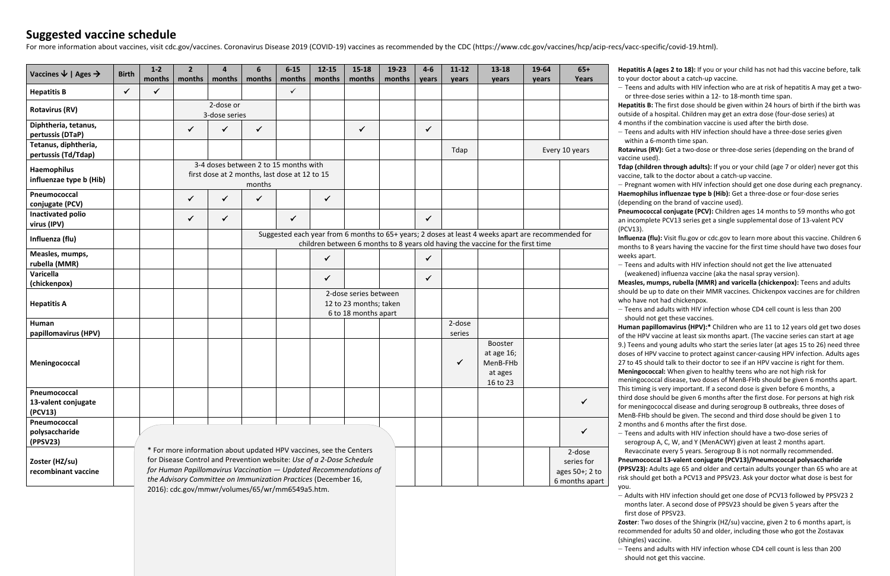#### **Suggested vaccine schedule**

For more information about vaccines, visit [cdc.gov/vaccines.](http://cdc.gov/vaccines) Coronavirus Disease 2019 (COVID-19) vaccines as recommended by the CDC ([https://www.cdc.gov/vaccines/hcp/acip-recs/vacc-specific/covid-19.html\)](https://www.cdc.gov/vaccines/hcp/acip-recs/vacc-specific/covid-19.html).

| Vaccines $\downarrow$   Ages $\rightarrow$     | <b>Birth</b> | $1-2$<br>months | 2 <sup>1</sup><br>months                                                                                                                                                                                                                                        | 4<br>months  | 6<br>months                                                                                      | $6 - 15$<br>months | $12 - 15$<br>months | $15 - 18$<br>months                                               | 19-23<br>months | $4-6$<br>years | $11 - 12$<br>years | 13-18<br>years                                                                                                                                                                       | 19-64<br>years | $65+$<br><b>Years</b>                                    |
|------------------------------------------------|--------------|-----------------|-----------------------------------------------------------------------------------------------------------------------------------------------------------------------------------------------------------------------------------------------------------------|--------------|--------------------------------------------------------------------------------------------------|--------------------|---------------------|-------------------------------------------------------------------|-----------------|----------------|--------------------|--------------------------------------------------------------------------------------------------------------------------------------------------------------------------------------|----------------|----------------------------------------------------------|
| <b>Hepatitis B</b>                             | $\checkmark$ | $\checkmark$    |                                                                                                                                                                                                                                                                 |              |                                                                                                  | $\checkmark$       |                     |                                                                   |                 |                |                    |                                                                                                                                                                                      |                |                                                          |
| <b>Rotavirus (RV)</b>                          |              |                 | 2-dose or<br>3-dose series                                                                                                                                                                                                                                      |              |                                                                                                  |                    |                     |                                                                   |                 |                |                    |                                                                                                                                                                                      |                |                                                          |
| Diphtheria, tetanus,<br>pertussis (DTaP)       |              |                 | ✓                                                                                                                                                                                                                                                               | $\checkmark$ | $\checkmark$                                                                                     |                    |                     | $\checkmark$                                                      |                 | $\checkmark$   |                    |                                                                                                                                                                                      |                |                                                          |
| Tetanus, diphtheria,<br>pertussis (Td/Tdap)    |              |                 |                                                                                                                                                                                                                                                                 |              |                                                                                                  |                    |                     |                                                                   |                 |                | Tdap               |                                                                                                                                                                                      |                | Every 10 years                                           |
| <b>Haemophilus</b><br>influenzae type b (Hib)  |              |                 |                                                                                                                                                                                                                                                                 |              | 3-4 doses between 2 to 15 months with<br>first dose at 2 months, last dose at 12 to 15<br>months |                    |                     |                                                                   |                 |                |                    |                                                                                                                                                                                      |                |                                                          |
| Pneumococcal<br>conjugate (PCV)                |              |                 | $\checkmark$                                                                                                                                                                                                                                                    | $\checkmark$ | ✓                                                                                                |                    | $\checkmark$        |                                                                   |                 |                |                    |                                                                                                                                                                                      |                |                                                          |
| <b>Inactivated polio</b><br>virus (IPV)        |              |                 | $\checkmark$                                                                                                                                                                                                                                                    | $\checkmark$ |                                                                                                  | $\checkmark$       |                     |                                                                   |                 | $\checkmark$   |                    |                                                                                                                                                                                      |                |                                                          |
| Influenza (flu)                                |              |                 |                                                                                                                                                                                                                                                                 |              |                                                                                                  |                    |                     |                                                                   |                 |                |                    | Suggested each year from 6 months to 65+ years; 2 doses at least 4 weeks apart are recommended for<br>children between 6 months to 8 years old having the vaccine for the first time |                |                                                          |
| Measles, mumps,<br>rubella (MMR)               |              |                 |                                                                                                                                                                                                                                                                 |              |                                                                                                  |                    | ✓                   |                                                                   |                 | $\checkmark$   |                    |                                                                                                                                                                                      |                |                                                          |
| Varicella<br>(chickenpox)                      |              |                 |                                                                                                                                                                                                                                                                 |              |                                                                                                  |                    | ✓                   |                                                                   |                 | ✓              |                    |                                                                                                                                                                                      |                |                                                          |
| <b>Hepatitis A</b>                             |              |                 | 2-dose series between<br>12 to 23 months; taken<br>6 to 18 months apart                                                                                                                                                                                         |              |                                                                                                  |                    |                     |                                                                   |                 |                |                    |                                                                                                                                                                                      |                |                                                          |
| Human<br>papillomavirus (HPV)                  |              |                 |                                                                                                                                                                                                                                                                 |              |                                                                                                  |                    |                     |                                                                   |                 |                | 2-dose<br>series   |                                                                                                                                                                                      |                |                                                          |
| Meningococcal                                  |              |                 |                                                                                                                                                                                                                                                                 |              |                                                                                                  |                    |                     |                                                                   |                 |                | $\checkmark$       | <b>Booster</b><br>at age 16;<br>MenB-FHb<br>at ages<br>16 to 23                                                                                                                      |                |                                                          |
| Pneumococcal<br>13-valent conjugate<br>(PCV13) |              |                 |                                                                                                                                                                                                                                                                 |              |                                                                                                  |                    |                     |                                                                   |                 |                |                    |                                                                                                                                                                                      |                | $\checkmark$                                             |
| Pneumococcal<br>polysaccharide<br>(PPSV23)     |              |                 |                                                                                                                                                                                                                                                                 |              |                                                                                                  |                    |                     |                                                                   |                 |                |                    |                                                                                                                                                                                      |                | $\checkmark$                                             |
| Zoster (HZ/su)<br>recombinant vaccine          |              |                 | * For more information about updated HPV vaccines, see the Centers<br>for Disease Control and Prevention website: Use of a 2-Dose Schedule<br>the Advisory Committee on Immunization Practices (December 16,<br>2016): cdc.gov/mmwr/volumes/65/wr/mm6549a5.htm. |              |                                                                                                  |                    |                     | for Human Papillomavirus Vaccination - Updated Recommendations of |                 |                |                    |                                                                                                                                                                                      |                | 2-dose<br>series for<br>ages 50+; 2 to<br>6 months apart |

‒ Adults with HIV infection should get one dose of PCV13 followed by PPSV23 2 months later. A second dose of PPSV23 should be given 5 years after the first dose of PPSV23.

**Zoster**: Two doses of the Shingrix (HZ/su) vaccine, given 2 to 6 months apart, is recommended for adults 50 and older, including those who got the Zostavax (shingles) vaccine.

‒ Teens and adults with HIV infection whose CD4 cell count is less than 200 should not get this vaccine.

titis A (ages 2 to 18): If you or your child has not had this vaccine before, talk ur doctor about a catch-up vaccine.

ens and adults with HIV infection who are at risk of hepatitis A may get a twothree-dose series within a 12- to 18-month time span.

**titis B:** The first dose should be given within 24 hours of birth if the birth was de of a hospital. Children may get an extra dose (four-dose series) at

hths if the combination vaccine is used after the birth dose.

ens and adults with HIV infection should have a three-dose series given hin a 6-month time span.

**rirus (RV):** Get a two-dose or three-dose series (depending on the brand of ne used).

(children through adults): If you or your child (age 7 or older) never got this ne, talk to the doctor about a catch-up vaccine.

gnant women with HIV infection should get one dose during each pregnancy. **hophilus influenzae type b (Hib):** Get a three-dose or four-dose series ending on the brand of vaccine used).

**mococcal conjugate (PCV):** Children ages 14 months to 59 months who got complete PCV13 series get a single supplemental dose of 13-valent PCV

**Inza (flu):** Visit [flu.gov](http://flu.gov) or [cdc.gov](http://cdc.gov) to learn more about this vaccine. Children 6 hs to 8 years having the vaccine for the first time should have two doses four apart.

ens and adults with HIV infection should not get the live attenuated eakened) influenza vaccine (aka the nasal spray version).

**Hes, mumps, rubella (MMR) and varicella (chickenpox):** Teens and adults d be up to date on their MMR vaccines. Chickenpox vaccines are for children have not had chickenpox.

ens and adults with HIV infection whose CD4 cell count is less than 200 ould not get these vaccines.

an papillomavirus (HPV):\* Children who are 11 to 12 years old get two doses HPV vaccine at least six months apart. (The vaccine series can start at age ens and young adults who start the series later (at ages 15 to 26) need three dof HPV vaccine to protect against cancer-causing HPV infection. Adults ages 45 should talk to their doctor to see if an HPV vaccine is right for them. ngococcal: When given to healthy teens who are not high risk for

ngococcal disease, two doses of MenB-FHb should be given 6 months apart. iming is very important. If a second dose is given before 6 months, a dose should be given 6 months after the first dose. For persons at high risk eningococcal disease and during serogroup B outbreaks, three doses of 3-FHb should be given. The second and third dose should be given 1 to nths and 6 months after the first dose.

ens and adults with HIV infection should have a two-dose series of ogroup A, C, W, and Y (MenACWY) given at least 2 months apart. vaccinate every 5 years. Serogroup B is not normally recommended. **Pneumococcal 13-valent conjugate (PCV13)/Pneumococcal polysaccharide (23):** Adults age 65 and older and certain adults younger than 65 who are at rould get both a PCV13 and PPSV23. Ask your doctor what dose is best for